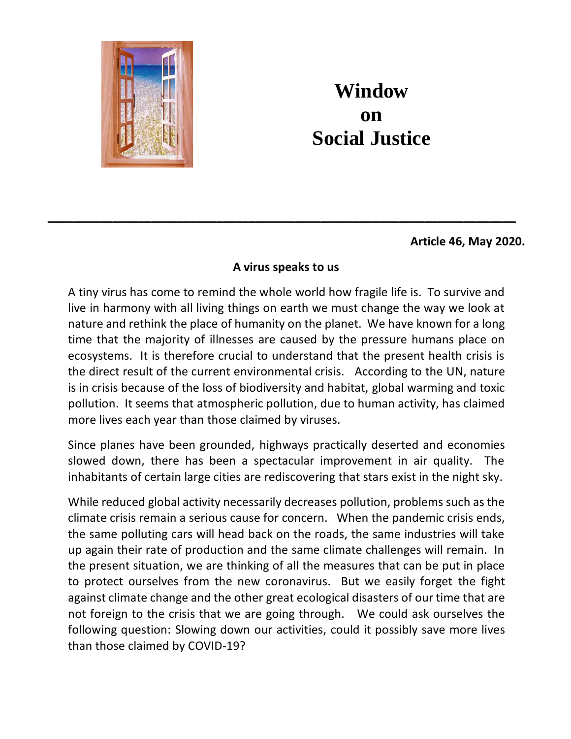

## **Window on Social Justice**

**Article 46, May 2020.**

## **A virus speaks to us**

**\_\_\_\_\_\_\_\_\_\_\_\_\_\_\_\_\_\_\_\_\_\_\_\_\_\_\_\_\_\_\_\_\_\_\_\_\_\_\_\_\_\_\_\_\_\_\_\_\_\_\_\_\_\_\_\_\_\_\_\_\_\_\_\_\_\_\_\_\_\_\_\_**

A tiny virus has come to remind the whole world how fragile life is. To survive and live in harmony with all living things on earth we must change the way we look at nature and rethink the place of humanity on the planet. We have known for a long time that the majority of illnesses are caused by the pressure humans place on ecosystems. It is therefore crucial to understand that the present health crisis is the direct result of the current environmental crisis. According to the UN, nature is in crisis because of the loss of biodiversity and habitat, global warming and toxic pollution. It seems that atmospheric pollution, due to human activity, has claimed more lives each year than those claimed by viruses.

Since planes have been grounded, highways practically deserted and economies slowed down, there has been a spectacular improvement in air quality. The inhabitants of certain large cities are rediscovering that stars exist in the night sky.

While reduced global activity necessarily decreases pollution, problems such as the climate crisis remain a serious cause for concern. When the pandemic crisis ends, the same polluting cars will head back on the roads, the same industries will take up again their rate of production and the same climate challenges will remain. In the present situation, we are thinking of all the measures that can be put in place to protect ourselves from the new coronavirus. But we easily forget the fight against climate change and the other great ecological disasters of our time that are not foreign to the crisis that we are going through. We could ask ourselves the following question: Slowing down our activities, could it possibly save more lives than those claimed by COVID-19?